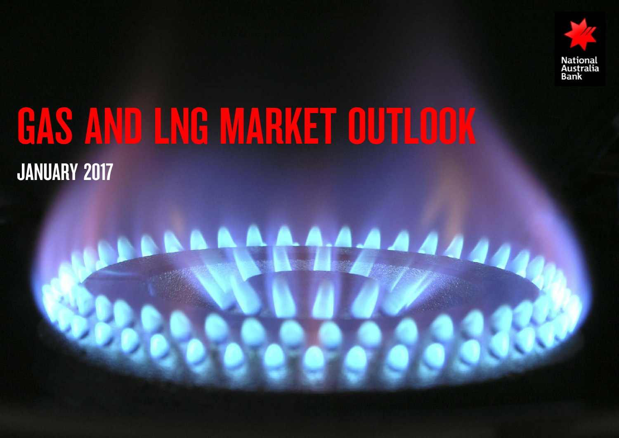

# GAS AND LNG MARKET OUTLOOK JANUARY 2017

# **AAAA**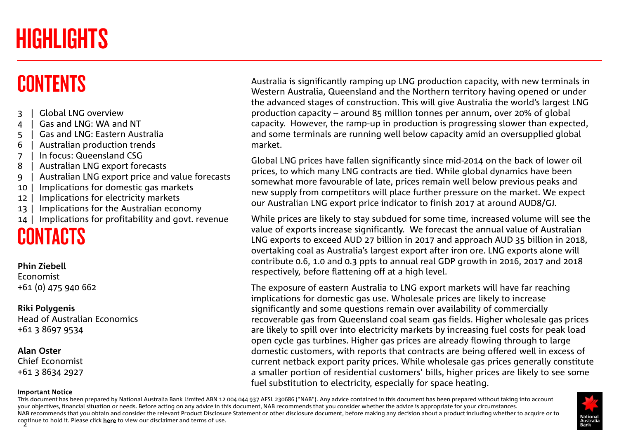## <span id="page-1-0"></span>HIGHLIGHTS

## **CONTENTS**

- 3 | Global LNG overview
- 4 | Gas and LNG: WA and NT
- 5 | Gas and LNG: Eastern Australia
- 6 | Australian production trends
- 7 | In focus: Queensland CSG
- 8 | Australian LNG export forecasts
- 9 | Australian LNG export price and value forecasts
- 10 | Implications for domestic gas markets
- 12 | Implications for electricity markets
- 13 | Implications for the Australian economy
- 14 | Implications for profitability and govt. revenue

## **CONTACTS**

### **Phin Ziebell** Economist

+61 (0) 475 940 662

## **Riki Polygenis**

Head of Australian Economics +61 3 8697 9534

## **Alan Oster**

Chief Economist +61 3 8634 2927

#### Important Notice

Australia is significantly ramping up LNG production capacity, with new terminals in Western Australia, Queensland and the Northern territory having opened or under the advanced stages of construction. T[his will give Australia the world's la](#page-5-0)rgest LNG production capacity – around 85 millio[n tonnes per annum, over](#page-4-0) 20% of global capacity. However, the ramp-up in production is progressing slower than expected, and some terminals are running well b[elow capacity amid an ov](#page-9-0)ersupplied global market.

Global LNG prices have fallen significa[ntly since mid-2014 on the](#page-10-0) back of lower oil prices, to which many LNG contracts are tied. While global dynamics have been somewhat more favourable of late, prices remain well below previous peaks and new supply from competitors will plac[e further pressure on the m](#page-3-0)arket. We expect our Australian LNG export price indicat[or to finish 2017 at aroun](#page-6-0)d AUD8/GJ.

While prices are likely to stay subdued [for some time, increased](#page-1-0) volume will see the value of exports increase significantly. [We forecast the annual v](#page-7-0)alue of Australian LNG exports to exceed AUD 27 billion i[n 2017 and approach AUD](#page-6-0) 35 billion in 2018, overtaking coal as Australia's largest e[xport after iron ore. LNG e](#page-9-0)xports alone will contribute 0.6, 1.0 and 0.3 ppts to ann[ual real GDP growth in 201](#page-13-0)6, 2017 and 2018 respectively, before flattening off at a high level.

The exposure of eastern Australia to LNG export markets will have far reaching implications for domestic gas use. Wholesale prices are likely to increase significantly and some questions remain over availability of commercially recoverable gas from Queensland coal seam gas fields. Higher wholesale gas prices are likely to spill over into electricity markets by increasing fuel costs for peak load open cycle gas turbines. Higher gas prices are already flowing through to large domestic customers, with reports that contracts are being offered well in excess of current netback export parity prices. While wholesale gas prices generally constitute a smaller portion of residential customers' bills, higher prices are likely to see some fuel substitution to electricity, especially for space heating.

continue to hold it. Please click **here** to view our disclaimer and terms of use.<br>2 This document has been prepared by National Australia Bank Limited ABN 12 004 044 937 AFSL 230686 ("NAB"). Any advice contained in this document has been prepared without taking into account your objectives, financial situation or needs. Before acting on any advice in this document, NAB recommends that you consider whether the advice is appropriate for your circumstances. NAB recommends that you obta[in and](http://www.nab.com.au/content/dam/nabrwd/business/international/financial-markets/documents/nab-research-disclaimer.pdf) consider the relevant Product Disclosure Statement or other disclosure document, before making any decision about a product including whether to acquire or to

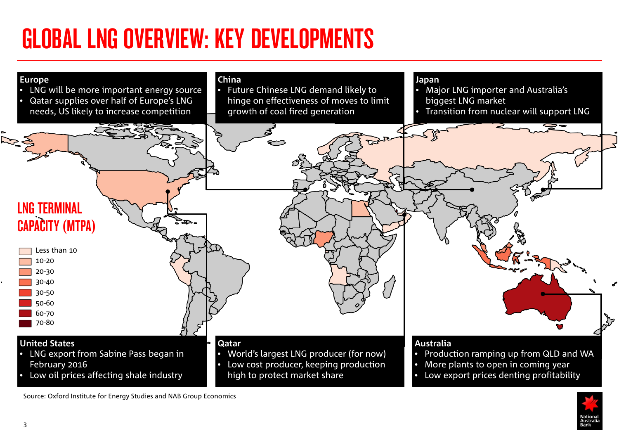# GLOBAL LNG OVERVIEW: KEY DEVELOPMENTS





Source: Oxford Institute for Energy Studies and NAB Group Economics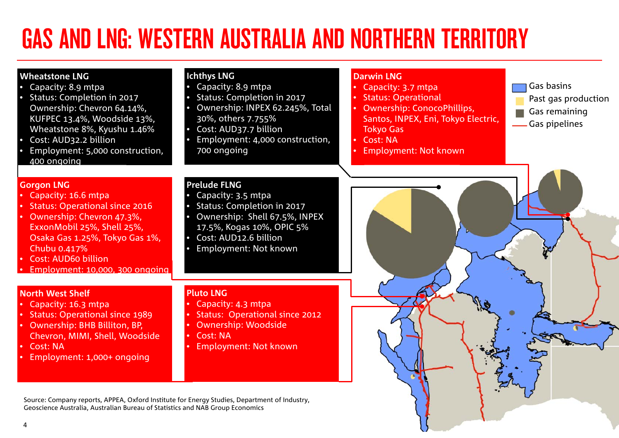# <span id="page-3-0"></span>GAS AND LNG: WESTERN AUSTRALIA AND NORTHERN TERRITORY

| <b>Wheatstone LNG</b><br>Capacity: 8.9 mtpa<br>Status: Completion in 2017<br>Ownership: Chevron 64.14%,<br>KUFPEC 13.4%, Woodside 13%,<br>Wheatstone 8%, Kyushu 1.46%<br>Cost: AUD32.2 billion<br>$\bullet$<br>Employment: 5,000 construction,<br>400 ongoing   | <b>Ichthys LNG</b><br>Capacity: 8.9 mtpa<br>Status: Completion in 2017<br>Ownership: INPEX 62.245%, Total<br>30%, others 7.755%<br>Cost: AUD37.7 billion<br>Employment: 4,000 construction,<br>700 ongoing | <b>Darwin LNG</b><br>Gas basins<br>Capacity: 3.7 mtpa<br><b>Status: Operational</b><br>Past gas production<br><b>Ownership: ConocoPhillips,</b><br>Gas remaining<br>Santos, INPEX, Eni, Tokyo Electric,<br>Gas pipelines<br><b>Tokyo Gas</b><br><b>Cost: NA</b><br><b>Employment: Not known</b><br>$\bullet$ |
|-----------------------------------------------------------------------------------------------------------------------------------------------------------------------------------------------------------------------------------------------------------------|------------------------------------------------------------------------------------------------------------------------------------------------------------------------------------------------------------|--------------------------------------------------------------------------------------------------------------------------------------------------------------------------------------------------------------------------------------------------------------------------------------------------------------|
| <b>Gorgon LNG</b><br>Capacity: 16.6 mtpa<br><b>Status: Operational since 2016</b><br>Ownership: Chevron 47.3%,<br>ExxonMobil 25%, Shell 25%,<br>Osaka Gas 1.25%, Tokyo Gas 1%,<br>Chubu 0.417%<br><b>Cost: AUD60 billion</b><br>Employment: 10,000, 300 ongoing | <b>Prelude FLNG</b><br>Capacity: 3.5 mtpa<br>Status: Completion in 2017<br>Ownership: Shell 67.5%, INPEX<br>17.5%, Kogas 10%, OPIC 5%<br>Cost: AUD12.6 billion<br>Employment: Not known                    |                                                                                                                                                                                                                                                                                                              |
| <b>North West Shelf</b><br>Capacity: 16.3 mtpa<br><b>Status: Operational since 1989</b><br>Ownership: BHB Billiton, BP,<br>Chevron, MIMI, Shell, Woodside<br><b>Cost: NA</b><br>$\bullet$<br>Employment: 1,000+ ongoing                                         | <b>Pluto LNG</b><br>Capacity: 4.3 mtpa<br>Status: Operational since 2012<br><b>Ownership: Woodside</b><br>Cost: NA<br><b>Employment: Not known</b>                                                         |                                                                                                                                                                                                                                                                                                              |
| Source: Company reports, APPEA, Oxford Institute for Energy Studies, Department of Industry,<br>Geoscience Australia, Australian Bureau of Statistics and NAB Group Economics                                                                                   |                                                                                                                                                                                                            |                                                                                                                                                                                                                                                                                                              |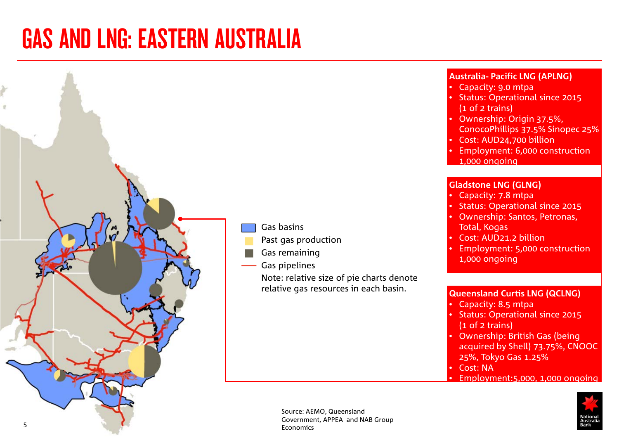## <span id="page-4-0"></span>GAS AND LNG: EASTERN AUSTRALIA



Gas basins

Past gas production

Gas remaining

Gas pipelines

Note: relative size of pie charts denote relative gas resources in each basin.

#### **Australia- Pacific LNG (APLNG)**

- Capacity: 9.0 mtpa
- Status: Operational since 2015 (1 of 2 trains)
- Ownership: Origin 37.5%, ConocoPhillips 37.5% Sinopec 25%
- Cost: AUD24,700 billion
- Employment: 6,000 construction 1,000 ongoing

#### **Gladstone LNG (GLNG)**

- Capacity: 7.8 mtpa
- Status: Operational since 2015
- Ownership: Santos, Petronas, Total, Kogas
- Cost: AUD21.2 billion
- Employment: 5,000 construction
- 1,000 ongoing

#### **Queensland Curtis LNG (QCLNG)**

- Capacity: 8.5 mtpa
- Status: Operational since 2015 (1 of 2 trains)
- Ownership: British Gas (being acquired by Shell) 73.75%, CNOOC 25%, Tokyo Gas 1.25%
- Cost: NA

• Employment:5,000, 1,000 ongoing



Source: AEMO, Queensland Government, APPEA and NAB Group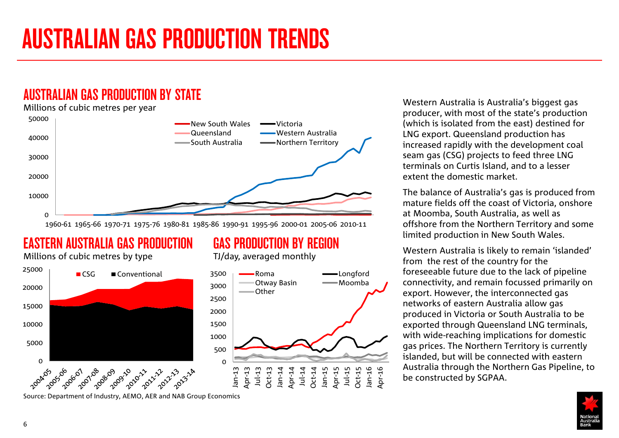## <span id="page-5-0"></span>AUSTRALIAN GAS PRODUCTION BY STATE

#### Millions of cubic metres per year



1960-61 1965-66 1970-71 1975-76 1980-81 1985-86 1990-91 1995-96 2000-01 2005-06 2010-11

## EASTERN AUSTRALIA GAS PRODUCTION

Millions of cubic metres by type



## GAS PRODUCTION BY REGION

TJ/day, averaged monthly



Western Australia is Australia's biggest gas producer, with most of the state's production (which is isolated from the east) destined for LNG export. Queensland production has increased rapidly with the development coal seam gas (CSG) projects to feed three LNG terminals on Curtis Island, and to a lesser extent the domestic market.

The balance of Australia's gas is produced from mature fields off the coast of Victoria, onshore at Moomba, South Australia, as well as offshore from the Northern Territory and some limited production in New South Wales.

Western Australia is likely to remain 'islanded' from the rest of the country for the foreseeable future due to the lack of pipeline connectivity, and remain focussed primarily on export. However, the interconnected gas networks of eastern Australia allow gas produced in Victoria or South Australia to be exported through Queensland LNG terminals, with wide-reaching implications for domestic gas prices. The Northern Territory is currently islanded, but will be connected with eastern Australia through the Northern Gas Pipeline, to be constructed by SGPAA.



Source: Department of Industry, AEMO, AER and NAB Group Economics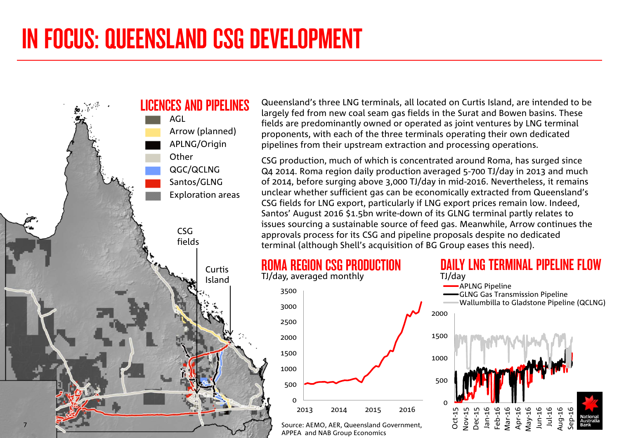<span id="page-6-0"></span>

Queensland's three LNG terminals, all located on Curtis Island, are intended to be largely fed from new coal seam gas fields in the Surat and Bowen basins. These fields are predominantly owned or operated as joint ventures by LNG terminal proponents, with each of the three terminals operating their own dedicated pipelines from their upstream extraction and processing operations.

CSG production, much of which is concentrated around Roma, has surged since Q4 2014. Roma region daily production averaged 5-700 TJ/day in 2013 and much of 2014, before surging above 3,000 TJ/day in mid-2016. Nevertheless, it remains unclear whether sufficient gas can be economically extracted from Queensland's CSG fields for LNG export, particularly if LNG export prices remain low. Indeed, Santos' August 2016 \$1.5bn write-down of its GLNG terminal partly relates to issues sourcing a sustainable source of feed gas. Meanwhile, Arrow continues the approvals process for its CSG and pipeline proposals despite no dedicated terminal (although Shell's acquisition of BG Group eases this need).



APPEA and NAB Group Economics

 $\Omega$ 

500

1000

1500

2000

2500

3000

3500

#### Source: AEMO, AER, Queensland Government, 2013 2014 2015 2016 TJ/day 0 500 1000 1500 2000 Oct-15 Nov-15 Dec-15 Jan-16 Feb-16 Mar-16 Apr-16 May-16 Jun-16 Jul-16 Aug-16 Sep-16 APLNG Pipeline GLNG Gas Transmission Pipeline Wallumbilla to Gladstone Pipeline (QCLNG)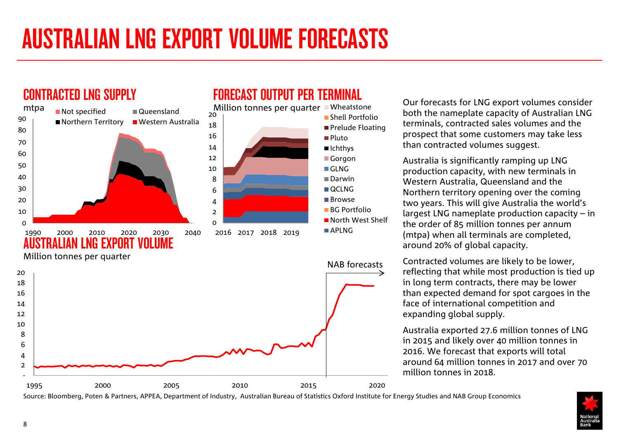# <span id="page-7-0"></span>AUSTRALIAN LNG EXPORT VOLUME FORECASTS



## FORECAST OUTPUT PER TERMINAL

Our forecasts for LNG export volumes consider both the nameplate capacity of Australian LNG terminals, contracted sales volumes and the prospect that some customers may take less than contracted volumes suggest.

Australia is significantly ramping up LNG production capacity, with new terminals in Western Australia, Queensland and the Northern territory opening over the coming two years. This will give Australia the world's largest LNG nameplate production capacity – in the order of 85 million tonnes per annum (mtpa) when all terminals are completed, around 20% of global capacity.

Contracted volumes are likely to be lower, reflecting that while most production is tied up in long term contracts, there may be lower than expected demand for spot cargoes in the face of international competition and expanding global supply.

Australia exported 27.6 million tonnes of LNG in 2015 and likely over 40 million tonnes in 2016. We forecast that exports will total around 64 million tonnes in 2017 and over 70 million tonnes in 2018.

Source: Bloomberg, Poten & Partners, APPEA, Department of Industry, Australian Bureau of Statistics Oxford Institute for Energy Studies and NAB Group Economics

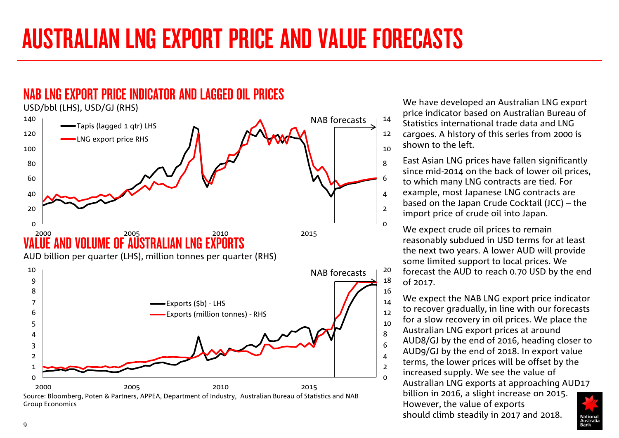# AUSTRALIAN LNG EXPORT PRICE AND VALUE FORECASTS



AUD billion per quarter (LHS), million tonnes per quarter (RHS)



We have developed an Australian LNG export price indicator based on Australian Bureau of Statistics international trade data and LNG cargoes. A history of this series from 2000 is shown to the left.

East Asian LNG prices have fallen significantly since mid-2014 on the back of lower oil prices, to which many LNG contracts are tied. For example, most Japanese LNG contracts are based on the Japan Crude Cocktail (JCC) – the import price of crude oil into Japan.

We expect crude oil prices to remain reasonably subdued in USD terms for at least the next two years. A lower AUD will provide some limited support to local prices. We forecast the AUD to reach 0.70 USD by the end of 2017.

We expect the NAB LNG export price indicator to recover gradually, in line with our forecasts for a slow recovery in oil prices. We place the Australian LNG export prices at around AUD8/GJ by the end of 2016, heading closer to AUD9/GJ by the end of 2018. In export value terms, the lower prices will be offset by the increased supply. We see the value of Australian LNG exports at approaching AUD17 billion in 2016, a slight increase on 2015. However, the value of exports should climb steadily in 2017 and 2018.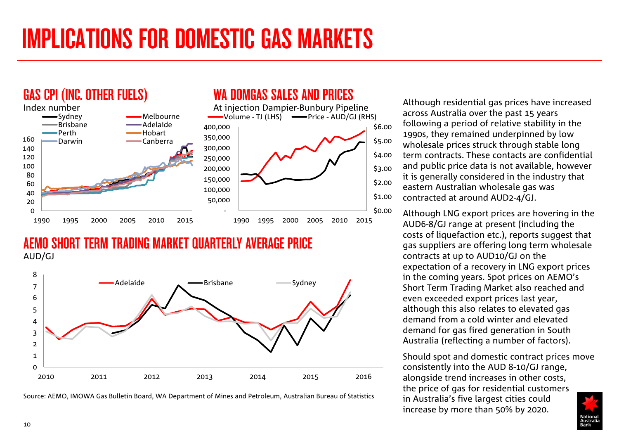# <span id="page-9-0"></span>IMPLICATIONS FOR DOMESTIC GAS MARKETS



## AEMO SHORT TERM TRADING MARKET QUARTERLY AVERAGE PRICE AUD/GJ



Source: AEMO, IMOWA Gas Bulletin Board, WA Department of Mines and Petroleum, Australian Bureau of Statistics

Although residential gas prices have increased across Australia over the past 15 years following a period of relative stability in the 1990s, they remained underpinned by low wholesale prices struck through stable long term contracts. These contacts are confidential and public price data is not available, however it is generally considered in the industry that eastern Australian wholesale gas was contracted at around AUD2-4/GJ.

Although LNG export prices are hovering in the AUD6-8/GJ range at present (including the costs of liquefaction etc.), reports suggest that gas suppliers are offering long term wholesale contracts at up to AUD10/GJ on the expectation of a recovery in LNG export prices in the coming years. Spot prices on AEMO's Short Term Trading Market also reached and even exceeded export prices last year, although this also relates to elevated gas demand from a cold winter and elevated demand for gas fired generation in South Australia (reflecting a number of factors).

Should spot and domestic contract prices move consistently into the AUD 8-10/GJ range, alongside trend increases in other costs, the price of gas for residential customers in Australia's five largest cities could increase by more than 50% by 2020.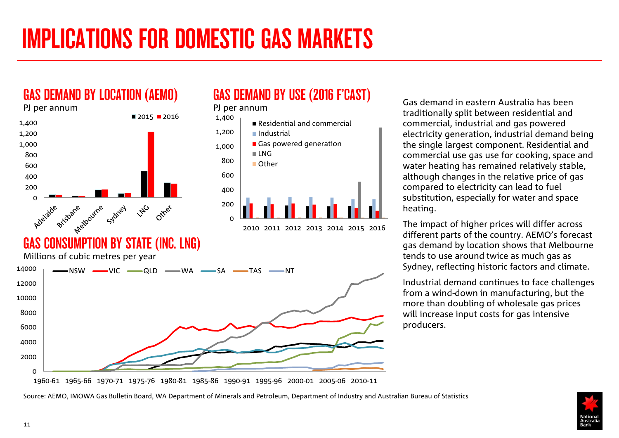# <span id="page-10-0"></span>IMPLICATIONS FOR DOMESTIC GAS MARKETS



GAS DEMAND BY USE (2016 F'CAST)



Gas demand in eastern Australia has been traditionally split between residential and commercial, industrial and gas powered electricity generation, industrial demand being the single largest component. Residential and commercial use gas use for cooking, space and water heating has remained relatively stable, although changes in the relative price of gas compared to electricity can lead to fuel substitution, especially for water and space heating.

The impact of higher prices will differ across different parts of the country. AEMO's forecast gas demand by location shows that Melbourne tends to use around twice as much gas as Sydney, reflecting historic factors and climate.

Industrial demand continues to face challenges from a wind-down in manufacturing, but the more than doubling of wholesale gas prices will increase input costs for gas intensive producers.

1960-61 1965-66 1970-71 1975-76 1980-81 1985-86 1990-91 1995-96 2000-01 2005-06 2010-11



Source: AEMO, IMOWA Gas Bulletin Board, WA Department of Minerals and Petroleum, Department of Industry and Australian Bureau of Statistics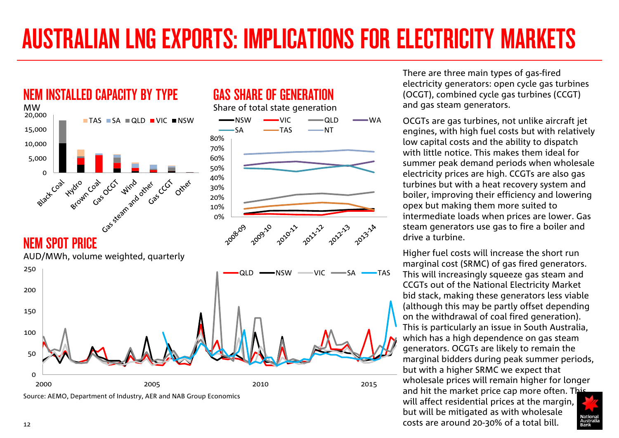# AUSTRALIAN LNG EXPORTS: IMPLICATIONS FOR ELECTRICITY MARKETS



Source: AEMO, Department of Industry, AER and NAB Group Economics

There are three main types of gas-fired electricity generators: open cycle gas turbines (OCGT), combined cycle gas turbines (CCGT) and gas steam generators.

OCGTs are gas turbines, not unlike aircraft jet engines, with high fuel costs but with relatively low capital costs and the ability to dispatch with little notice. This makes them ideal for summer peak demand periods when wholesale electricity prices are high. CCGTs are also gas turbines but with a heat recovery system and boiler, improving their efficiency and lowering opex but making them more suited to intermediate loads when prices are lower. Gas steam generators use gas to fire a boiler and drive a turbine.

Higher fuel costs will increase the short run marginal cost (SRMC) of gas fired generators. This will increasingly squeeze gas steam and CCGTs out of the National Electricity Market bid stack, making these generators less viable (although this may be partly offset depending on the withdrawal of coal fired generation). This is particularly an issue in South Australia, which has a high dependence on gas steam generators. OCGTs are likely to remain the marginal bidders during peak summer periods, but with a higher SRMC we expect that wholesale prices will remain higher for longer and hit the market price cap more often. This will affect residential prices at the margin, but will be mitigated as with wholesale costs are around 20-30% of a total bill.

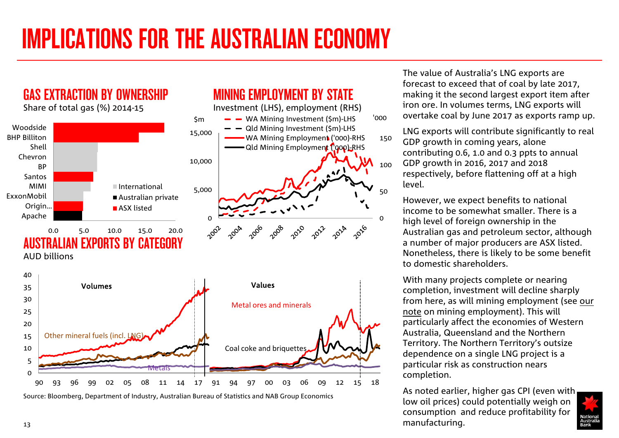# IMPLICATIONS FOR THE AUSTRALIAN ECONOMY

MINING EMPLOYMENT BY STATE Investment (LHS), employment (RHS)

GAS EXTRACTION BY OWNERSHIP

Share of total gas (%) 2014-15



Source: Bloomberg, Department of Industry, Australian Bureau of Statistics and NAB Group Economics

The value of Australia's LNG exports are forecast to exceed that of coal by late 2017, making it the second largest export item after iron ore. In volumes terms, LNG exports will overtake coal by June 2017 as exports ramp up.

LNG exports will contribute significantly to real GDP growth in coming years, alone contributing 0.6, 1.0 and 0.3 ppts to annual GDP growth in 2016, 2017 and 2018 respectively, before flattening off at a high level.

However, we expect benefits to national income to be somewhat smaller. There is a high level of foreign ownership in the Australian gas and petroleum sector, although a number of major producers are ASX listed. Nonetheless, there is likely to be some benefit to domestic shareholders.

 $\Omega$ 

50

100

150

With many projects complete or nearing completion, investment will decline sharply from here, as will mining employment (see [our](http://business.nab.com.au/wp-content/uploads/2016/06/The-Mining-Cliff-How-far-have-we-come1.pdf)  [note](http://business.nab.com.au/wp-content/uploads/2016/06/The-Mining-Cliff-How-far-have-we-come1.pdf) on mining employment). This will particularly affect the economies of Western Australia, Queensland and the Northern Territory. The Northern Territory's outsize dependence on a single LNG project is a particular risk as construction nears completion.

As noted earlier, higher gas CPI (even with low oil prices) could potentially weigh on consumption and reduce profitability for manufacturing.